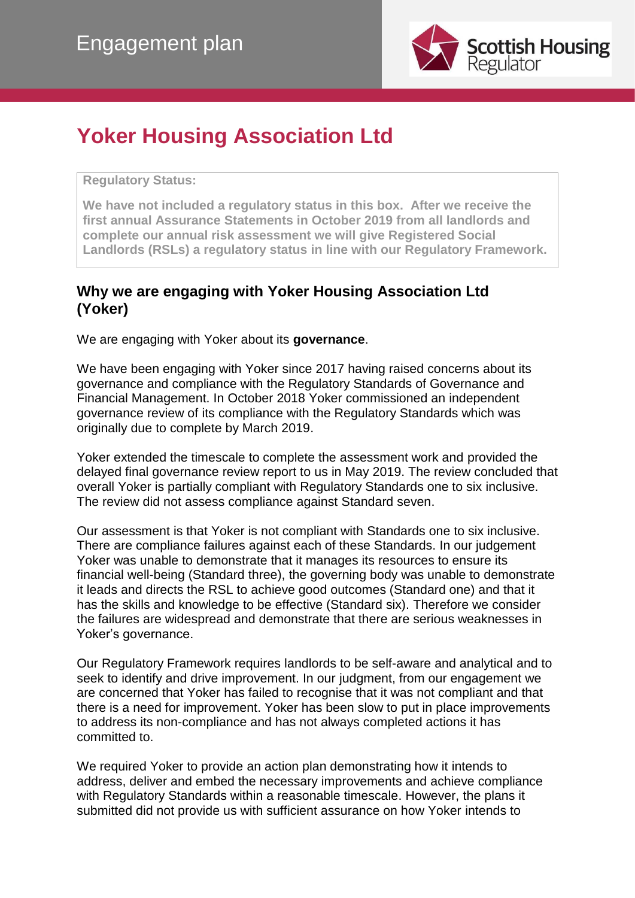

# **Yoker Housing Association Ltd**

**Regulatory Status:** 

**We have not included a regulatory status in this box. After we receive the first annual Assurance Statements in October 2019 from all landlords and complete our annual risk assessment we will give Registered Social Landlords (RSLs) a regulatory status in line with our Regulatory Framework.**

## **Why we are engaging with Yoker Housing Association Ltd (Yoker)**

We are engaging with Yoker about its **governance**.

We have been engaging with Yoker since 2017 having raised concerns about its governance and compliance with the Regulatory Standards of Governance and Financial Management. In October 2018 Yoker commissioned an independent governance review of its compliance with the Regulatory Standards which was originally due to complete by March 2019.

Yoker extended the timescale to complete the assessment work and provided the delayed final governance review report to us in May 2019. The review concluded that overall Yoker is partially compliant with Regulatory Standards one to six inclusive. The review did not assess compliance against Standard seven.

Our assessment is that Yoker is not compliant with Standards one to six inclusive. There are compliance failures against each of these Standards. In our judgement Yoker was unable to demonstrate that it manages its resources to ensure its financial well-being (Standard three), the governing body was unable to demonstrate it leads and directs the RSL to achieve good outcomes (Standard one) and that it has the skills and knowledge to be effective (Standard six). Therefore we consider the failures are widespread and demonstrate that there are serious weaknesses in Yoker's governance.

Our Regulatory Framework requires landlords to be self-aware and analytical and to seek to identify and drive improvement. In our judgment, from our engagement we are concerned that Yoker has failed to recognise that it was not compliant and that there is a need for improvement. Yoker has been slow to put in place improvements to address its non-compliance and has not always completed actions it has committed to.

We required Yoker to provide an action plan demonstrating how it intends to address, deliver and embed the necessary improvements and achieve compliance with Regulatory Standards within a reasonable timescale. However, the plans it submitted did not provide us with sufficient assurance on how Yoker intends to